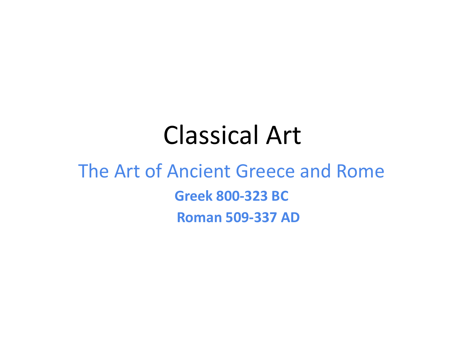# Classical Art

### The Art of Ancient Greece and Rome **Greek 800-323 BC Roman 509-337 AD**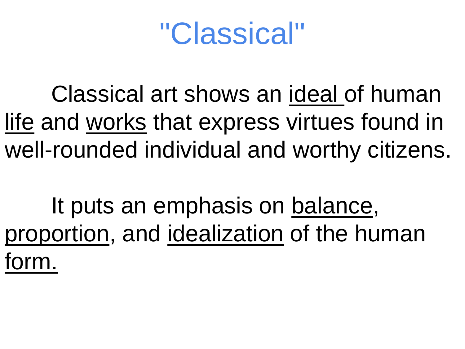"Classical"

Classical art shows an ideal of human life and works that express virtues found in well-rounded individual and worthy citizens.

It puts an emphasis on balance, proportion, and idealization of the human form.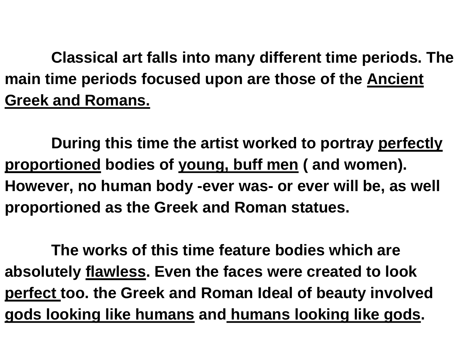**Classical art falls into many different time periods. The main time periods focused upon are those of the Ancient Greek and Romans.**

**During this time the artist worked to portray perfectly proportioned bodies of young, buff men ( and women). However, no human body -ever was- or ever will be, as well proportioned as the Greek and Roman statues.** 

**The works of this time feature bodies which are absolutely flawless. Even the faces were created to look perfect too. the Greek and Roman Ideal of beauty involved gods looking like humans and humans looking like gods.**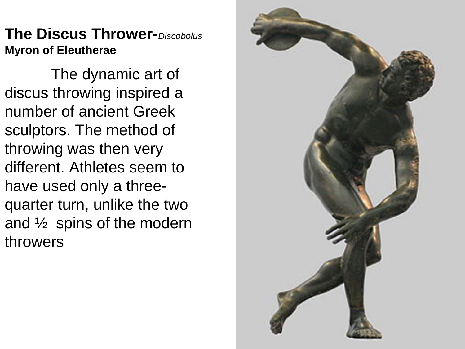#### **The Discus Thrower-***Discobolus* **Myron of Eleutherae**

The dynamic art of discus throwing inspired a number of ancient Greek sculptors. The method of throwing was then very different. Athletes seem to have used only a threequarter turn, unlike the two and ½ spins of the modern throwers

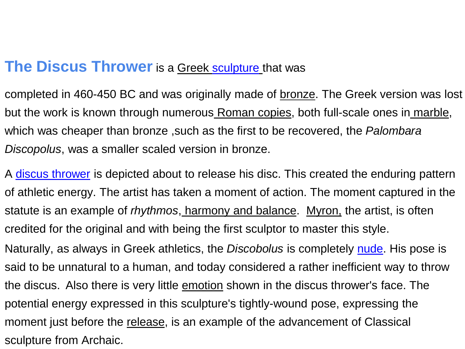#### **The Discus Thrower** is a Greek [sculpture](http://en.wikipedia.org/wiki/Sculpture) that was

completed in 460-450 BC and was originally made of **bronze**. The Greek version was lost but the work is known through numerous Roman copies, both full-scale ones in marble, which was cheaper than bronze ,such as the first to be recovered, the *Palombara Discopolus*, was a smaller scaled version in bronze.

A [discus thrower](http://en.wikipedia.org/wiki/Discus_throw) is depicted about to release his disc. This created the enduring pattern of athletic energy. The artist has taken a moment of action. The moment captured in the statute is an example of *rhythmos*, harmony and balance. Myron, the artist, is often credited for the original and with being the first sculptor to master this style. Naturally, as always in Greek athletics, the *Discobolus* is completely [nude](http://en.wikipedia.org/wiki/Nudity_in_sport). His pose is said to be unnatural to a human, and today considered a rather inefficient way to throw the discus. Also there is very little **emotion** shown in the discus thrower's face. The potential energy expressed in this sculpture's tightly-wound pose, expressing the moment just before the release, is an example of the advancement of Classical sculpture from Archaic.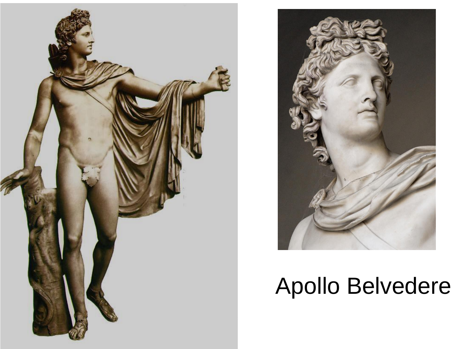



## Apollo Belvedere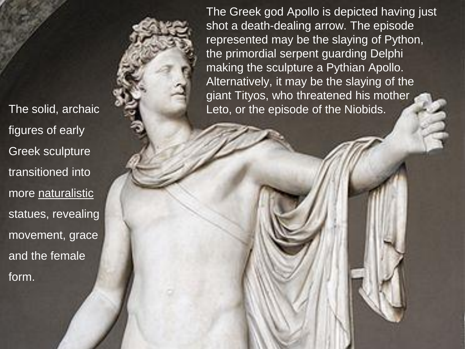figures of early Greek sculpture transitioned into more naturalistic statues, revealing movement, grace and the female form.

The *Apple Servederer [sculpture](http://en.wikipedia.org/wiki/Sculpture) is made of mandein* and the primordial serpent guarding Delphi ancient sculpture and for centuries epitomized in a estimate in the sculpture a Pythian Apollo. Europeans and westernized parts of the world. The world. The world. The world. The world. The world. The world. The world. The world. The world. The world. The world. The world. The world. The world. The world. The world. The Greek god Apollo is depicted having just shot a death-dealing arrow. The episode represented may be the slaying of Python, Alternatively, it may be the slaying of the giant Tityos, who threatened his mother The solid, archaic  $\mathbb{Z}$  Leto, or the episode of the Niobids.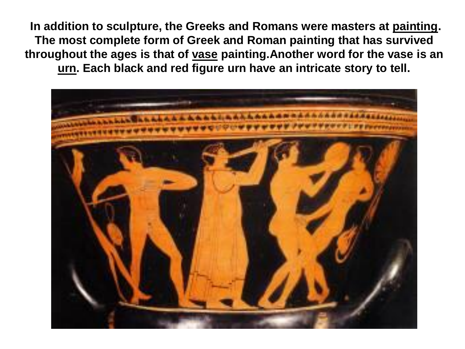**In addition to sculpture, the Greeks and Romans were masters at painting. The most complete form of Greek and Roman painting that has survived throughout the ages is that of vase painting.Another word for the vase is an urn. Each black and red figure urn have an intricate story to tell.** 

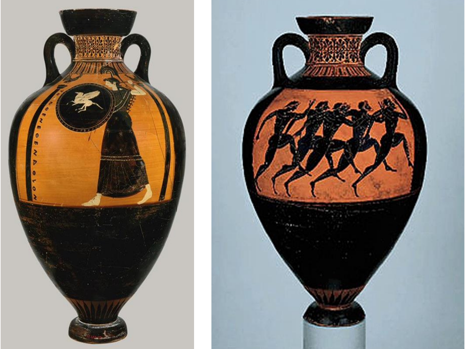

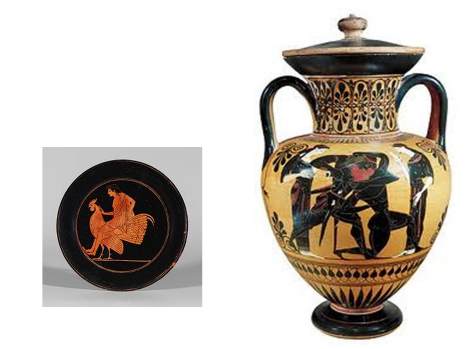